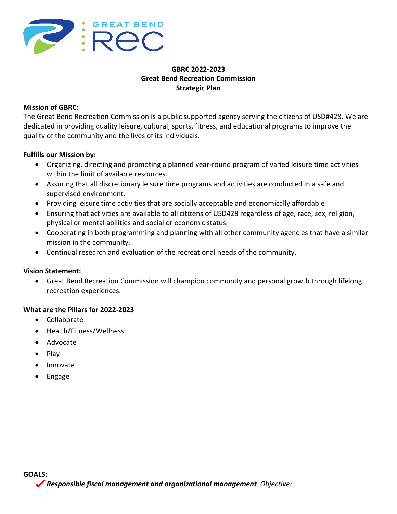

## **GBRC 2022-2023 Great Bend Recreation Commission Strategic Plan**

#### **Mission of GBRC:**

The Great Bend Recreation Commission is a public supported agency serving the citizens of USD#428. We are dedicated in providing quality leisure, cultural, sports, fitness, and educational programs to improve the quality of the community and the lives of its individuals.

#### **Fulfills our Mission by:**

- Organizing, directing and promoting a planned year-round program of varied leisure time activities within the limit of available resources.
- Assuring that all discretionary leisure time programs and activities are conducted in a safe and supervised environment.
- Providing leisure time activities that are socially acceptable and economically affordable
- Ensuring that activities are available to all citizens of USD428 regardless of age, race, sex, religion, physical or mental abilities and social or economic status.
- Cooperating in both programming and planning with all other community agencies that have a similar mission in the community.
- Continual research and evaluation of the recreational needs of the community.

#### **Vision Statement:**

• Great Bend Recreation Commission will champion community and personal growth through lifelong recreation experiences.

#### **What are the Pillars for 2022-2023**

- Collaborate
- Health/Fitness/Wellness
- Advocate
- Play
- Innovate
- Engage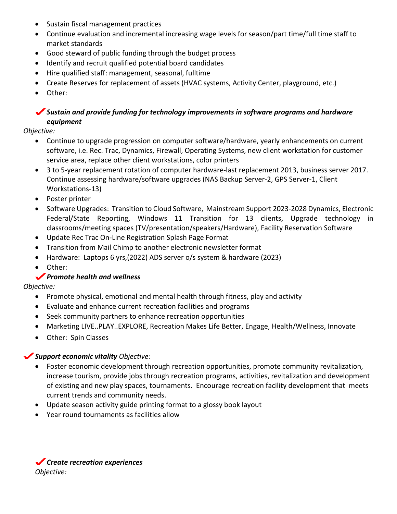- Sustain fiscal management practices
- Continue evaluation and incremental increasing wage levels for season/part time/full time staff to market standards
- Good steward of public funding through the budget process
- Identify and recruit qualified potential board candidates
- Hire qualified staff: management, seasonal, fulltime
- Create Reserves for replacement of assets (HVAC systems, Activity Center, playground, etc.)
- Other:

# *Sustain and provide funding for technology improvements in software programs and hardware equipment*

*Objective:*

- Continue to upgrade progression on computer software/hardware, yearly enhancements on current software, i.e. Rec. Trac, Dynamics, Firewall, Operating Systems, new client workstation for customer service area, replace other client workstations, color printers
- 3 to 5-year replacement rotation of computer hardware-last replacement 2013, business server 2017. Continue assessing hardware/software upgrades (NAS Backup Server-2, GPS Server-1, Client Workstations-13)
- Poster printer
- Software Upgrades: Transition to Cloud Software, Mainstream Support 2023-2028 Dynamics, Electronic Federal/State Reporting, Windows 11 Transition for 13 clients, Upgrade technology in classrooms/meeting spaces (TV/presentation/speakers/Hardware), Facility Reservation Software
- Update Rec Trac On-Line Registration Splash Page Format
- Transition from Mail Chimp to another electronic newsletter format
- Hardware: Laptops 6 yrs,(2022) ADS server o/s system & hardware (2023)
- Other:

## *Promote health and wellness*

*Objective:* 

- Promote physical, emotional and mental health through fitness, play and activity
- Evaluate and enhance current recreation facilities and programs
- Seek community partners to enhance recreation opportunities
- Marketing LIVE..PLAY..EXPLORE, Recreation Makes Life Better, Engage, Health/Wellness, Innovate
- Other: Spin Classes

#### *Support economic vitality Objective:*

- Foster economic development through recreation opportunities, promote community revitalization, increase tourism, provide jobs through recreation programs, activities, revitalization and development of existing and new play spaces, tournaments. Encourage recreation facility development that meets current trends and community needs.
- Update season activity guide printing format to a glossy book layout
- Year round tournaments as facilities allow

*Create recreation experiences Objective:*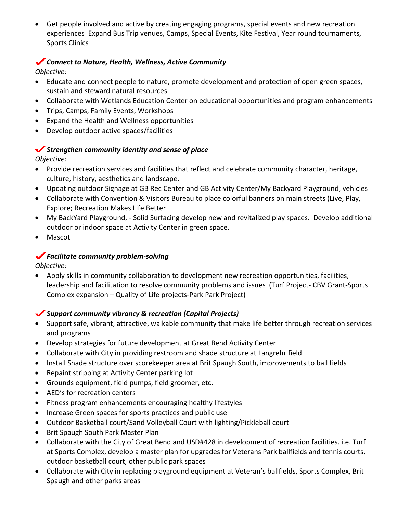• Get people involved and active by creating engaging programs, special events and new recreation experiences Expand Bus Trip venues, Camps, Special Events, Kite Festival, Year round tournaments, Sports Clinics

#### *Connect to Nature, Health, Wellness, Active Community Objective:*

## • Educate and connect people to nature, promote development and protection of open green spaces, sustain and steward natural resources

- Collaborate with Wetlands Education Center on educational opportunities and program enhancements
- Trips, Camps, Family Events, Workshops
- Expand the Health and Wellness opportunities
- Develop outdoor active spaces/facilities

# *Strengthen community identity and sense of place*

*Objective:*

- Provide recreation services and facilities that reflect and celebrate community character, heritage, culture, history, aesthetics and landscape.
- Updating outdoor Signage at GB Rec Center and GB Activity Center/My Backyard Playground, vehicles
- Collaborate with Convention & Visitors Bureau to place colorful banners on main streets (Live, Play, Explore; Recreation Makes Life Better
- My BackYard Playground, Solid Surfacing develop new and revitalized play spaces. Develop additional outdoor or indoor space at Activity Center in green space.
- Mascot

## *Facilitate community problem-solving*

*Objective:*

• Apply skills in community collaboration to development new recreation opportunities, facilities, leadership and facilitation to resolve community problems and issues (Turf Project- CBV Grant-Sports Complex expansion – Quality of Life projects-Park Park Project)

## *Support community vibrancy & recreation (Capital Projects)*

- Support safe, vibrant, attractive, walkable community that make life better through recreation services and programs
- Develop strategies for future development at Great Bend Activity Center
- Collaborate with City in providing restroom and shade structure at Langrehr field
- Install Shade structure over scorekeeper area at Brit Spaugh South, improvements to ball fields
- Repaint stripping at Activity Center parking lot
- Grounds equipment, field pumps, field groomer, etc.
- AED's for recreation centers
- Fitness program enhancements encouraging healthy lifestyles
- Increase Green spaces for sports practices and public use
- Outdoor Basketball court/Sand Volleyball Court with lighting/Pickleball court
- Brit Spaugh South Park Master Plan
- Collaborate with the City of Great Bend and USD#428 in development of recreation facilities. i.e. Turf at Sports Complex, develop a master plan for upgrades for Veterans Park ballfields and tennis courts, outdoor basketball court, other public park spaces
- Collaborate with City in replacing playground equipment at Veteran's ballfields, Sports Complex, Brit Spaugh and other parks areas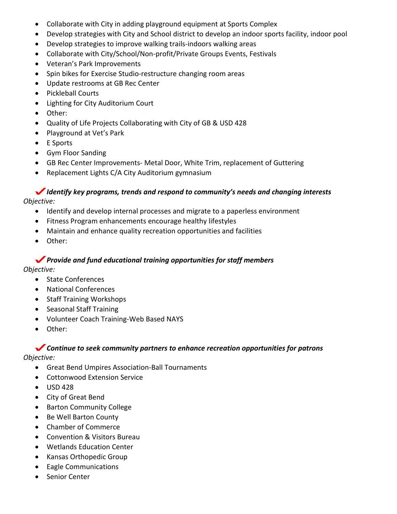- Collaborate with City in adding playground equipment at Sports Complex
- Develop strategies with City and School district to develop an indoor sports facility, indoor pool
- Develop strategies to improve walking trails-indoors walking areas
- Collaborate with City/School/Non-profit/Private Groups Events, Festivals
- Veteran's Park Improvements
- Spin bikes for Exercise Studio-restructure changing room areas
- Update restrooms at GB Rec Center
- Pickleball Courts
- Lighting for City Auditorium Court
- Other:
- Quality of Life Projects Collaborating with City of GB & USD 428
- Playground at Vet's Park
- E Sports
- Gym Floor Sanding
- GB Rec Center Improvements- Metal Door, White Trim, replacement of Guttering
- Replacement Lights C/A City Auditorium gymnasium

### *Identify key programs, trends and respond to community's needs and changing interests Objective:*

- Identify and develop internal processes and migrate to a paperless environment
- Fitness Program enhancements encourage healthy lifestyles
- Maintain and enhance quality recreation opportunities and facilities
- Other:

## *Provide and fund educational training opportunities for staff members*

*Objective:*

- State Conferences
- National Conferences
- Staff Training Workshops
- Seasonal Staff Training
- Volunteer Coach Training-Web Based NAYS
- Other:

# *Continue to seek community partners to enhance recreation opportunities for patrons*

*Objective:*

- Great Bend Umpires Association-Ball Tournaments
- Cottonwood Extension Service
- $\bullet$  USD 428
- City of Great Bend
- Barton Community College
- Be Well Barton County
- Chamber of Commerce
- Convention & Visitors Bureau
- Wetlands Education Center
- Kansas Orthopedic Group
- Eagle Communications
- Senior Center